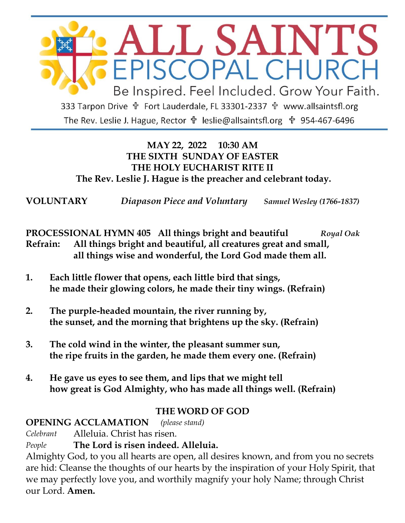

The Rev. Leslie J. Hague, Rector f leslie@allsaintsfl.org f 954-467-6496

## **MAY 22, 2022 10:30 AM THE SIXTH SUNDAY OF EASTER THE HOLY EUCHARIST RITE II The Rev. Leslie J. Hague is the preacher and celebrant today.**

**VOLUNTARY** *Diapason Piece and Voluntary Samuel Wesley (1766-1837)*

**PROCESSIONAL HYMN 405 All things bright and beautiful** *Royal Oak* **Refrain: All things bright and beautiful, all creatures great and small, all things wise and wonderful, the Lord God made them all.**

- **1. Each little flower that opens, each little bird that sings, he made their glowing colors, he made their tiny wings. (Refrain)**
- **2. The purple-headed mountain, the river running by, the sunset, and the morning that brightens up the sky. (Refrain)**
- **3. The cold wind in the winter, the pleasant summer sun, the ripe fruits in the garden, he made them every one. (Refrain)**
- **4. He gave us eyes to see them, and lips that we might tell how great is God Almighty, who has made all things well. (Refrain)**

## **THE WORD OF GOD**

**OPENING ACCLAMATION** *(please stand)*

*Celebrant* Alleluia. Christ has risen.

## *People* **The Lord is risen indeed. Alleluia.**

Almighty God, to you all hearts are open, all desires known, and from you no secrets are hid: Cleanse the thoughts of our hearts by the inspiration of your Holy Spirit, that we may perfectly love you, and worthily magnify your holy Name; through Christ our Lord. **Amen.**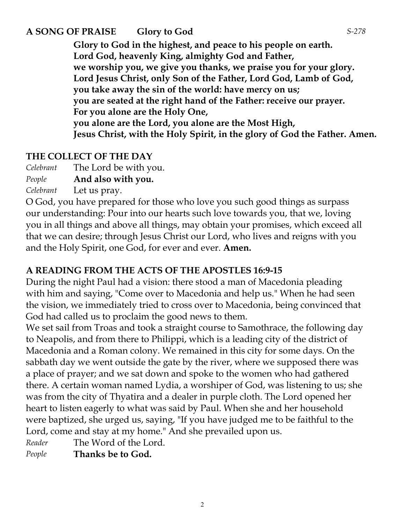## **A SONG OF PRAISE Glory to God** *S-278*

**Glory to God in the highest, and peace to his people on earth. Lord God, heavenly King, almighty God and Father, we worship you, we give you thanks, we praise you for your glory. Lord Jesus Christ, only Son of the Father, Lord God, Lamb of God, you take away the sin of the world: have mercy on us; you are seated at the right hand of the Father: receive our prayer. For you alone are the Holy One, you alone are the Lord, you alone are the Most High, Jesus Christ, with the Holy Spirit, in the glory of God the Father. Amen.**

## **THE COLLECT OF THE DAY**

- *Celebrant* The Lord be with you.
- *People* **And also with you.**
- *Celebrant* Let us pray.

O God, you have prepared for those who love you such good things as surpass our understanding: Pour into our hearts such love towards you, that we, loving you in all things and above all things, may obtain your promises, which exceed all that we can desire; through Jesus Christ our Lord, who lives and reigns with you and the Holy Spirit, one God, for ever and ever. **Amen.**

### **A READING FROM THE ACTS OF THE APOSTLES 16:9-15**

During the night Paul had a vision: there stood a man of Macedonia pleading with him and saying, "Come over to Macedonia and help us." When he had seen the vision, we immediately tried to cross over to Macedonia, being convinced that God had called us to proclaim the good news to them.

We set sail from Troas and took a straight course to Samothrace, the following day to Neapolis, and from there to Philippi, which is a leading city of the district of Macedonia and a Roman colony. We remained in this city for some days. On the sabbath day we went outside the gate by the river, where we supposed there was a place of prayer; and we sat down and spoke to the women who had gathered there. A certain woman named Lydia, a worshiper of God, was listening to us; she was from the city of Thyatira and a dealer in purple cloth. The Lord opened her heart to listen eagerly to what was said by Paul. When she and her household were baptized, she urged us, saying, "If you have judged me to be faithful to the Lord, come and stay at my home." And she prevailed upon us.

*Reader* The Word of the Lord.

*People* **Thanks be to God.**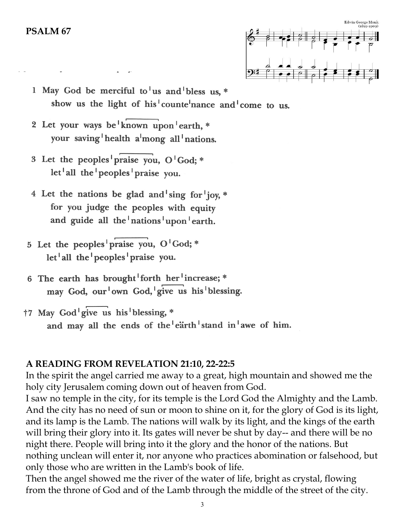#### **PSALM 67**



1 May God be merciful to us and bless us, \* show us the light of his<sup>1</sup>counte<sup>1</sup>nance and<sup>1</sup>come to us.

- 2 Let your ways be known upon earth, \* your saving health a mong all nations.
- 3 Let the peoples  $\overline{p_{\text{raise}}}$  you, O  $\overline{G}$  God; \* let<sup>1</sup> all the<sup>1</sup> peoples<sup>1</sup> praise you.
- 4 Let the nations be glad and sing for joy,  $*$ for you judge the peoples with equity and guide all the nations upon earth.
- 5 Let the peoples praise you,  $O<sup>T</sup>$  God; \* let all the peoples praise you.
- 6 The earth has brought forth her increase; \* may God, our<sup>1</sup>own God, give us his blessing.
- †7 May God<sup>1</sup>give us his<sup>1</sup>blessing, \* and may all the ends of the earth stand in awe of him.

#### **A READING FROM REVELATION 21:10, 22-22:5**

In the spirit the angel carried me away to a great, high mountain and showed me the holy city Jerusalem coming down out of heaven from God.

I saw no temple in the city, for its temple is the Lord God the Almighty and the Lamb. And the city has no need of sun or moon to shine on it, for the glory of God is its light, and its lamp is the Lamb. The nations will walk by its light, and the kings of the earth will bring their glory into it. Its gates will never be shut by day-- and there will be no night there. People will bring into it the glory and the honor of the nations. But nothing unclean will enter it, nor anyone who practices abomination or falsehood, but only those who are written in the Lamb's book of life.

Then the angel showed me the river of the water of life, bright as crystal, flowing from the throne of God and of the Lamb through the middle of the street of the city.

3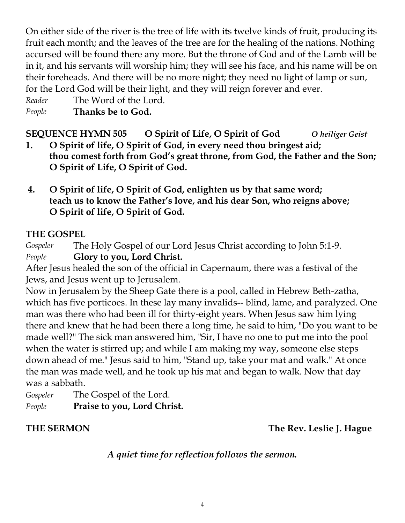On either side of the river is the tree of life with its twelve kinds of fruit, producing its fruit each month; and the leaves of the tree are for the healing of the nations. Nothing accursed will be found there any more. But the throne of God and of the Lamb will be in it, and his servants will worship him; they will see his face, and his name will be on their foreheads. And there will be no more night; they need no light of lamp or sun, for the Lord God will be their light, and they will reign forever and ever.

*Reader* The Word of the Lord. *People* **Thanks be to God.**

**SEQUENCE HYMN 505 O Spirit of Life, O Spirit of God** *O heiliger Geist*

- **1. O Spirit of life, O Spirit of God, in every need thou bringest aid; thou comest forth from God's great throne, from God, the Father and the Son; O Spirit of Life, O Spirit of God.**
- **4. O Spirit of life, O Spirit of God, enlighten us by that same word; teach us to know the Father's love, and his dear Son, who reigns above; O Spirit of life, O Spirit of God.**

## **THE GOSPEL**

*Gospeler* The Holy Gospel of our Lord Jesus Christ according to John 5:1-9. *People* **Glory to you, Lord Christ.**

After Jesus healed the son of the official in Capernaum, there was a festival of the Jews, and Jesus went up to Jerusalem.

Now in Jerusalem by the Sheep Gate there is a pool, called in Hebrew Beth-zatha, which has five porticoes. In these lay many invalids-- blind, lame, and paralyzed. One man was there who had been ill for thirty-eight years. When Jesus saw him lying there and knew that he had been there a long time, he said to him, "Do you want to be made well?" The sick man answered him, "Sir, I have no one to put me into the pool when the water is stirred up; and while I am making my way, someone else steps down ahead of me." Jesus said to him, "Stand up, take your mat and walk." At once the man was made well, and he took up his mat and began to walk. Now that day was a sabbath.

*Gospeler* The Gospel of the Lord. *People* **Praise to you, Lord Christ.**

**THE SERMON The Rev. Leslie J. Hague** 

*A quiet time for reflection follows the sermon.*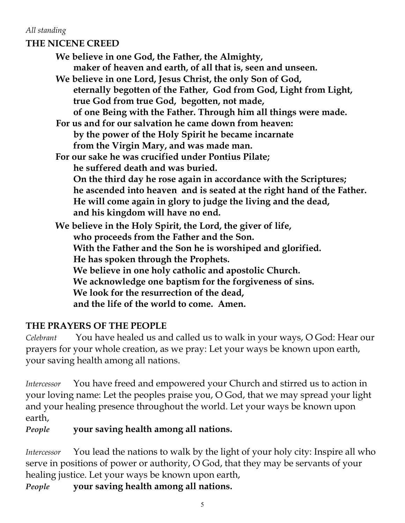#### *All standing*

## **THE NICENE CREED**

**We believe in one God, the Father, the Almighty, maker of heaven and earth, of all that is, seen and unseen. We believe in one Lord, Jesus Christ, the only Son of God, eternally begotten of the Father, God from God, Light from Light, true God from true God, begotten, not made, of one Being with the Father. Through him all things were made. For us and for our salvation he came down from heaven: by the power of the Holy Spirit he became incarnate from the Virgin Mary, and was made man. For our sake he was crucified under Pontius Pilate; he suffered death and was buried. On the third day he rose again in accordance with the Scriptures; he ascended into heaven and is seated at the right hand of the Father. He will come again in glory to judge the living and the dead, and his kingdom will have no end. We believe in the Holy Spirit, the Lord, the giver of life, who proceeds from the Father and the Son. With the Father and the Son he is worshiped and glorified. He has spoken through the Prophets. We believe in one holy catholic and apostolic Church. We acknowledge one baptism for the forgiveness of sins. We look for the resurrection of the dead, and the life of the world to come. Amen.**

## **THE PRAYERS OF THE PEOPLE**

*Celebrant* You have healed us and called us to walk in your ways, O God: Hear our prayers for your whole creation, as we pray: Let your ways be known upon earth, your saving health among all nations.

*Intercessor* You have freed and empowered your Church and stirred us to action in your loving name: Let the peoples praise you, O God, that we may spread your light and your healing presence throughout the world. Let your ways be known upon earth,

### *People* **your saving health among all nations.**

*Intercessor* You lead the nations to walk by the light of your holy city: Inspire all who serve in positions of power or authority, O God, that they may be servants of your healing justice. Let your ways be known upon earth,

*People* **your saving health among all nations.**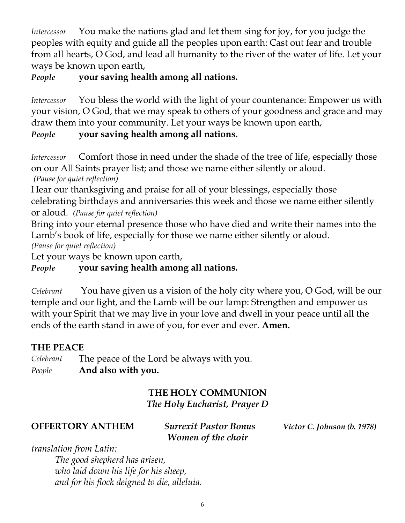*Intercessor* You make the nations glad and let them sing for joy, for you judge the peoples with equity and guide all the peoples upon earth: Cast out fear and trouble from all hearts, O God, and lead all humanity to the river of the water of life. Let your ways be known upon earth,

## *People* **your saving health among all nations.**

*Intercessor* You bless the world with the light of your countenance: Empower us with your vision, O God, that we may speak to others of your goodness and grace and may draw them into your community. Let your ways be known upon earth,

## *People* **your saving health among all nations.**

*Intercessor* Comfort those in need under the shade of the tree of life, especially those on our All Saints prayer list; and those we name either silently or aloud.

*(Pause for quiet reflection)*

Hear our thanksgiving and praise for all of your blessings, especially those celebrating birthdays and anniversaries this week and those we name either silently or aloud. *(Pause for quiet reflection)*

Bring into your eternal presence those who have died and write their names into the Lamb's book of life, especially for those we name either silently or aloud. *(Pause for quiet reflection)*

Let your ways be known upon earth,

## *People* **your saving health among all nations.**

*Celebrant* You have given us a vision of the holy city where you, O God, will be our temple and our light, and the Lamb will be our lamp: Strengthen and empower us with your Spirit that we may live in your love and dwell in your peace until all the ends of the earth stand in awe of you, for ever and ever. **Amen.**

## **THE PEACE**

*Celebrant* The peace of the Lord be always with you. *People* **And also with you.**

#### **THE HOLY COMMUNION** *The Holy Eucharist, Prayer D*

### **OFFERTORY ANTHEM** *Surrexit Pastor Bonus Victor C. Johnson (b. 1978)*

*Women of the choir*

*translation from Latin:*

*The good shepherd has arisen, who laid down his life for his sheep, and for his flock deigned to die, alleluia.*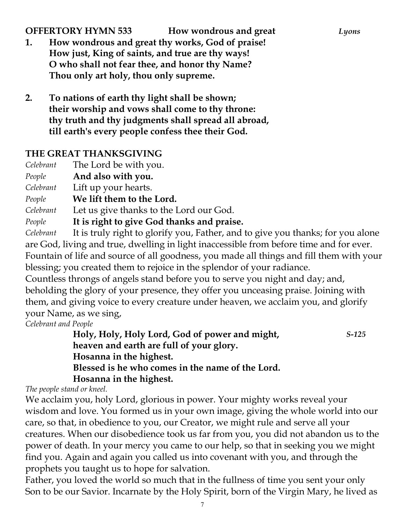## **OFFERTORY HYMN 533 How wondrous and great** *Lyons*

- **1. How wondrous and great thy works, God of praise! How just, King of saints, and true are thy ways! O who shall not fear thee, and honor thy Name? Thou only art holy, thou only supreme.**
- **2. To nations of earth thy light shall be shown; their worship and vows shall come to thy throne: thy truth and thy judgments shall spread all abroad, till earth's every people confess thee their God.**

### **THE GREAT THANKSGIVING**

- *Celebrant* The Lord be with you.
- *People* **And also with you.**
- *Celebrant* Lift up your hearts.
- *People* **We lift them to the Lord.**
- *Celebrant* Let us give thanks to the Lord our God.
- *People* **It is right to give God thanks and praise.**

*Celebrant* It is truly right to glorify you, Father, and to give you thanks; for you alone are God, living and true, dwelling in light inaccessible from before time and for ever. Fountain of life and source of all goodness, you made all things and fill them with your blessing; you created them to rejoice in the splendor of your radiance.

Countless throngs of angels stand before you to serve you night and day; and, beholding the glory of your presence, they offer you unceasing praise. Joining with them, and giving voice to every creature under heaven, we acclaim you, and glorify your Name, as we sing,

*Celebrant and People*

| Holy, Holy, Holy Lord, God of power and might,   | $S-125$ |
|--------------------------------------------------|---------|
| heaven and earth are full of your glory.         |         |
| Hosanna in the highest.                          |         |
| Blessed is he who comes in the name of the Lord. |         |
| Hosanna in the highest.                          |         |
|                                                  |         |

### *The people stand or kneel.*

We acclaim you, holy Lord, glorious in power. Your mighty works reveal your wisdom and love. You formed us in your own image, giving the whole world into our care, so that, in obedience to you, our Creator, we might rule and serve all your creatures. When our disobedience took us far from you, you did not abandon us to the power of death. In your mercy you came to our help, so that in seeking you we might find you. Again and again you called us into covenant with you, and through the prophets you taught us to hope for salvation.

Father, you loved the world so much that in the fullness of time you sent your only Son to be our Savior. Incarnate by the Holy Spirit, born of the Virgin Mary, he lived as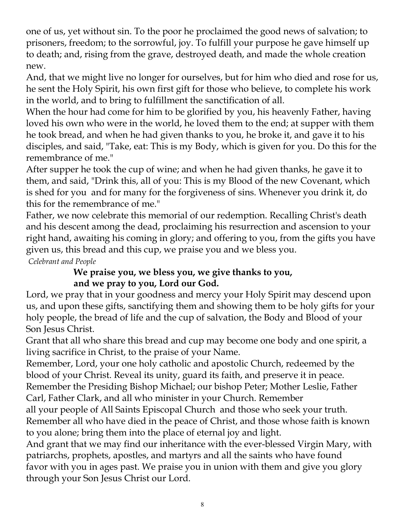one of us, yet without sin. To the poor he proclaimed the good news of salvation; to prisoners, freedom; to the sorrowful, joy. To fulfill your purpose he gave himself up to death; and, rising from the grave, destroyed death, and made the whole creation new.

And, that we might live no longer for ourselves, but for him who died and rose for us, he sent the Holy Spirit, his own first gift for those who believe, to complete his work in the world, and to bring to fulfillment the sanctification of all.

When the hour had come for him to be glorified by you, his heavenly Father, having loved his own who were in the world, he loved them to the end; at supper with them he took bread, and when he had given thanks to you, he broke it, and gave it to his disciples, and said, "Take, eat: This is my Body, which is given for you. Do this for the remembrance of me."

After supper he took the cup of wine; and when he had given thanks, he gave it to them, and said, "Drink this, all of you: This is my Blood of the new Covenant, which is shed for you and for many for the forgiveness of sins. Whenever you drink it, do this for the remembrance of me."

Father, we now celebrate this memorial of our redemption. Recalling Christ's death and his descent among the dead, proclaiming his resurrection and ascension to your right hand, awaiting his coming in glory; and offering to you, from the gifts you have given us, this bread and this cup, we praise you and we bless you.

*Celebrant and People*

#### **We praise you, we bless you, we give thanks to you, and we pray to you, Lord our God.**

Lord, we pray that in your goodness and mercy your Holy Spirit may descend upon us, and upon these gifts, sanctifying them and showing them to be holy gifts for your holy people, the bread of life and the cup of salvation, the Body and Blood of your Son Jesus Christ.

Grant that all who share this bread and cup may become one body and one spirit, a living sacrifice in Christ, to the praise of your Name.

Remember, Lord, your one holy catholic and apostolic Church, redeemed by the blood of your Christ. Reveal its unity, guard its faith, and preserve it in peace. Remember the Presiding Bishop Michael; our bishop Peter; Mother Leslie, Father Carl, Father Clark, and all who minister in your Church. Remember

all your people of All Saints Episcopal Church and those who seek your truth. Remember all who have died in the peace of Christ, and those whose faith is known to you alone; bring them into the place of eternal joy and light.

And grant that we may find our inheritance with the ever-blessed Virgin Mary, with patriarchs, prophets, apostles, and martyrs and all the saints who have found favor with you in ages past. We praise you in union with them and give you glory through your Son Jesus Christ our Lord.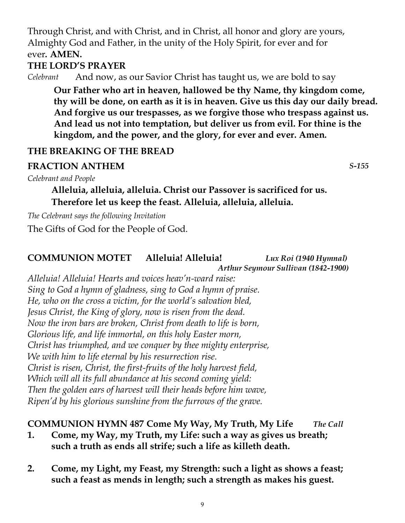Through Christ, and with Christ, and in Christ, all honor and glory are yours, Almighty God and Father, in the unity of the Holy Spirit, for ever and for ever*.* **AMEN.**

## **THE LORD'S PRAYER**

*Celebrant* And now, as our Savior Christ has taught us, we are bold to say

**Our Father who art in heaven, hallowed be thy Name, thy kingdom come, thy will be done, on earth as it is in heaven. Give us this day our daily bread. And forgive us our trespasses, as we forgive those who trespass against us. And lead us not into temptation, but deliver us from evil. For thine is the kingdom, and the power, and the glory, for ever and ever. Amen***.*

## **THE BREAKING OF THE BREAD**

## **FRACTION ANTHEM** *S-155*

*Celebrant and People*

**Alleluia, alleluia, alleluia. Christ our Passover is sacrificed for us. Therefore let us keep the feast. Alleluia, alleluia, alleluia.**

*The Celebrant says the following Invitation*

The Gifts of God for the People of God.

# **COMMUNION MOTET Alleluia! Alleluia!** *Lux Roi (1940 Hymnal)*

*Arthur Seymour Sullivan (1842-1900)*

*Alleluia! Alleluia! Hearts and voices heav'n-ward raise: Sing to God a hymn of gladness, sing to God a hymn of praise. He, who on the cross a victim, for the world's salvation bled, Jesus Christ, the King of glory, now is risen from the dead. Now the iron bars are broken, Christ from death to life is born, Glorious life, and life immortal, on this holy Easter morn, Christ has triumphed, and we conquer by thee mighty enterprise, We with him to life eternal by his resurrection rise. Christ is risen, Christ, the first-fruits of the holy harvest field, Which will all its full abundance at his second coming yield: Then the golden ears of harvest will their heads before him wave, Ripen'd by his glorious sunshine from the furrows of the grave.*

## **COMMUNION HYMN 487 Come My Way, My Truth, My Life** *The Call*

- **1. Come, my Way, my Truth, my Life: such a way as gives us breath; such a truth as ends all strife; such a life as killeth death.**
- **2. Come, my Light, my Feast, my Strength: such a light as shows a feast; such a feast as mends in length; such a strength as makes his guest.**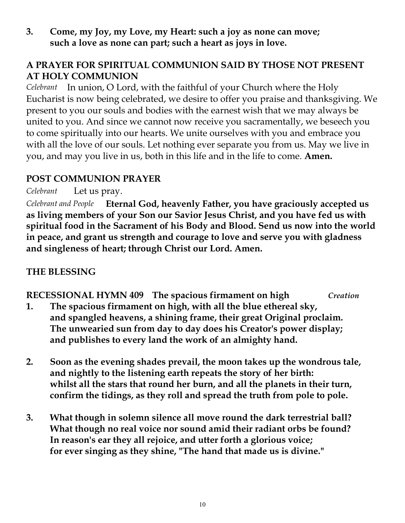**3. Come, my Joy, my Love, my Heart: such a joy as none can move; such a love as none can part; such a heart as joys in love.**

## **A PRAYER FOR SPIRITUAL COMMUNION SAID BY THOSE NOT PRESENT AT HOLY COMMUNION**

*Celebrant* In union, O Lord, with the faithful of your Church where the Holy Eucharist is now being celebrated, we desire to offer you praise and thanksgiving. We present to you our souls and bodies with the earnest wish that we may always be united to you. And since we cannot now receive you sacramentally, we beseech you to come spiritually into our hearts. We unite ourselves with you and embrace you with all the love of our souls. Let nothing ever separate you from us. May we live in you, and may you live in us, both in this life and in the life to come. **Amen.**

## **POST COMMUNION PRAYER**

*Celebrant* Let us pray.

*Celebrant and People* **Eternal God, heavenly Father, you have graciously accepted us as living members of your Son our Savior Jesus Christ, and you have fed us with spiritual food in the Sacrament of his Body and Blood. Send us now into the world in peace, and grant us strength and courage to love and serve you with gladness and singleness of heart; through Christ our Lord. Amen.**

## **THE BLESSING**

**RECESSIONAL HYMN 409 The spacious firmament on high** *Creation*

- **1. The spacious firmament on high, with all the blue ethereal sky, and spangled heavens, a shining frame, their great Original proclaim. The unwearied sun from day to day does his Creator's power display; and publishes to every land the work of an almighty hand.**
- **2. Soon as the evening shades prevail, the moon takes up the wondrous tale, and nightly to the listening earth repeats the story of her birth: whilst all the stars that round her burn, and all the planets in their turn, confirm the tidings, as they roll and spread the truth from pole to pole.**
- **3. What though in solemn silence all move round the dark terrestrial ball? What though no real voice nor sound amid their radiant orbs be found? In reason's ear they all rejoice, and utter forth a glorious voice; for ever singing as they shine, "The hand that made us is divine."**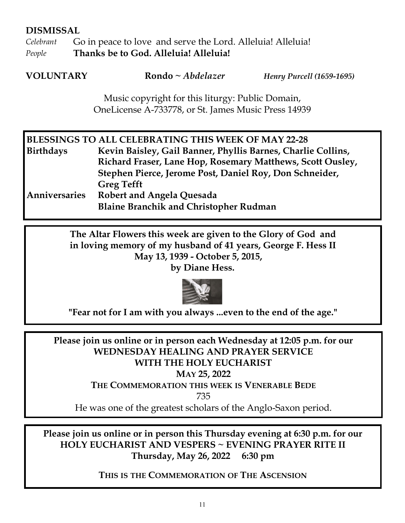## **DISMISSAL**

*Celebrant* Go in peace to love and serve the Lord. Alleluia! Alleluia! *People* **Thanks be to God. Alleluia! Alleluia!**

**VOLUNTARY Rondo ~** *Abdelazer Henry Purcell (1659-1695)*

Music copyright for this liturgy: Public Domain, OneLicense A-733778, or St. James Music Press 14939

| <b>BLESSINGS TO ALL CELEBRATING THIS WEEK OF MAY 22-28</b> |                                                              |
|------------------------------------------------------------|--------------------------------------------------------------|
| <b>Birthdays</b>                                           | Kevin Baisley, Gail Banner, Phyllis Barnes, Charlie Collins, |
|                                                            | Richard Fraser, Lane Hop, Rosemary Matthews, Scott Ousley,   |
|                                                            | Stephen Pierce, Jerome Post, Daniel Roy, Don Schneider,      |
|                                                            | <b>Greg Tefft</b>                                            |
| <b>Anniversaries</b>                                       | <b>Robert and Angela Quesada</b>                             |
|                                                            | <b>Blaine Branchik and Christopher Rudman</b>                |

**The Altar Flowers this week are given to the Glory of God and in loving memory of my husband of 41 years, George F. Hess II May 13, 1939 - October 5, 2015,**

 **by Diane Hess.**



**"Fear not for I am with you always ...even to the end of the age."**

**Please join us online or in person each Wednesday at 12:05 p.m. for our WEDNESDAY HEALING AND PRAYER SERVICE WITH THE HOLY EUCHARIST**

**MAY 25, 2022**

**THE COMMEMORATION THIS WEEK IS VENERABLE BEDE**

735

He was one of the greatest scholars of the Anglo-Saxon period.

**Please join us online or in person this Thursday evening at 6:30 p.m. for our HOLY EUCHARIST AND VESPERS ~ EVENING PRAYER RITE II Thursday, May 26, 2022 6:30 pm**

**THIS IS THE COMMEMORATION OF THE ASCENSION**